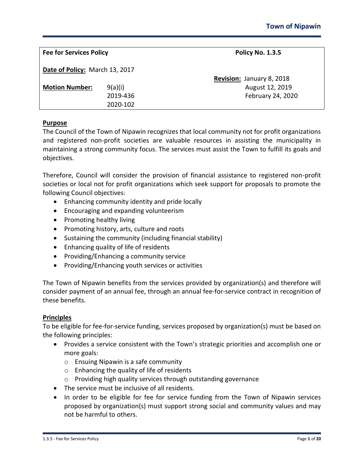| <b>Fee for Services Policy</b> |          | <b>Policy No. 1.3.5</b>   |
|--------------------------------|----------|---------------------------|
| Date of Policy: March 13, 2017 |          |                           |
|                                |          | Revision: January 8, 2018 |
| <b>Motion Number:</b>          | 9(a)(i)  | August 12, 2019           |
|                                | 2019-436 | February 24, 2020         |
|                                | 2020-102 |                           |
|                                |          |                           |

## **Purpose**

The Council of the Town of Nipawin recognizes that local community not for profit organizations and registered non-profit societies are valuable resources in assisting the municipality in maintaining a strong community focus. The services must assist the Town to fulfill its goals and objectives.

Therefore, Council will consider the provision of financial assistance to registered non-profit societies or local not for profit organizations which seek support for proposals to promote the following Council objectives:

- Enhancing community identity and pride locally
- Encouraging and expanding volunteerism
- Promoting healthy living
- Promoting history, arts, culture and roots
- Sustaining the community (including financial stability)
- Enhancing quality of life of residents
- Providing/Enhancing a community service
- Providing/Enhancing youth services or activities

The Town of Nipawin benefits from the services provided by organization(s) and therefore will consider payment of an annual fee, through an annual fee-for-service contract in recognition of these benefits.

#### **Principles**

To be eligible for fee-for-service funding, services proposed by organization(s) must be based on the following principles:

- Provides a service consistent with the Town's strategic priorities and accomplish one or more goals:
	- o Ensuing Nipawin is a safe community
	- o Enhancing the quality of life of residents
	- o Providing high quality services through outstanding governance
- The service must be inclusive of all residents.
- In order to be eligible for fee for service funding from the Town of Nipawin services proposed by organization(s) must support strong social and community values and may not be harmful to others.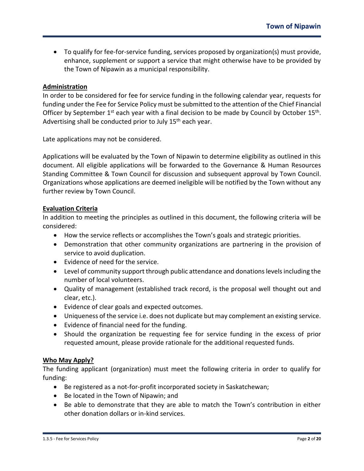• To qualify for fee-for-service funding, services proposed by organization(s) must provide, enhance, supplement or support a service that might otherwise have to be provided by the Town of Nipawin as a municipal responsibility.

# **Administration**

In order to be considered for fee for service funding in the following calendar year, requests for funding under the Fee for Service Policy must be submitted to the attention of the Chief Financial Officer by September  $1^{st}$  each year with a final decision to be made by Council by October  $15^{th}$ . Advertising shall be conducted prior to July  $15<sup>th</sup>$  each year.

Late applications may not be considered.

Applications will be evaluated by the Town of Nipawin to determine eligibility as outlined in this document. All eligible applications will be forwarded to the Governance & Human Resources Standing Committee & Town Council for discussion and subsequent approval by Town Council. Organizations whose applications are deemed ineligible will be notified by the Town without any further review by Town Council.

## **Evaluation Criteria**

In addition to meeting the principles as outlined in this document, the following criteria will be considered:

- How the service reflects or accomplishes the Town's goals and strategic priorities.
- Demonstration that other community organizations are partnering in the provision of service to avoid duplication.
- Evidence of need for the service.
- Level of community support through public attendance and donations levels including the number of local volunteers.
- Quality of management (established track record, is the proposal well thought out and clear, etc.).
- Evidence of clear goals and expected outcomes.
- Uniqueness of the service i.e. does not duplicate but may complement an existing service.
- Evidence of financial need for the funding.
- Should the organization be requesting fee for service funding in the excess of prior requested amount, please provide rationale for the additional requested funds.

#### **Who May Apply?**

The funding applicant (organization) must meet the following criteria in order to qualify for funding:

- Be registered as a not-for-profit incorporated society in Saskatchewan;
- Be located in the Town of Nipawin; and
- Be able to demonstrate that they are able to match the Town's contribution in either other donation dollars or in-kind services.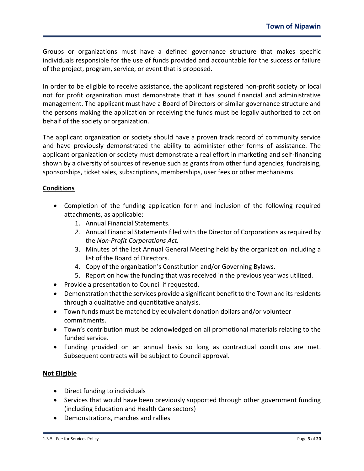Groups or organizations must have a defined governance structure that makes specific individuals responsible for the use of funds provided and accountable for the success or failure of the project, program, service, or event that is proposed.

In order to be eligible to receive assistance, the applicant registered non-profit society or local not for profit organization must demonstrate that it has sound financial and administrative management. The applicant must have a Board of Directors or similar governance structure and the persons making the application or receiving the funds must be legally authorized to act on behalf of the society or organization.

The applicant organization or society should have a proven track record of community service and have previously demonstrated the ability to administer other forms of assistance. The applicant organization or society must demonstrate a real effort in marketing and self-financing shown by a diversity of sources of revenue such as grants from other fund agencies, fundraising, sponsorships, ticket sales, subscriptions, memberships, user fees or other mechanisms.

# **Conditions**

- Completion of the funding application form and inclusion of the following required attachments, as applicable:
	- 1. Annual Financial Statements.
	- *2.* Annual Financial Statements filed with the Director of Corporations as required by the *Non-Profit Corporations Act.*
	- 3. Minutes of the last Annual General Meeting held by the organization including a list of the Board of Directors.
	- 4. Copy of the organization's Constitution and/or Governing Bylaws.
	- 5. Report on how the funding that was received in the previous year was utilized.
- Provide a presentation to Council if requested.
- Demonstration that the services provide a significant benefit to the Town and its residents through a qualitative and quantitative analysis.
- Town funds must be matched by equivalent donation dollars and/or volunteer commitments.
- Town's contribution must be acknowledged on all promotional materials relating to the funded service.
- Funding provided on an annual basis so long as contractual conditions are met. Subsequent contracts will be subject to Council approval.

# **Not Eligible**

- Direct funding to individuals
- Services that would have been previously supported through other government funding (including Education and Health Care sectors)
- Demonstrations, marches and rallies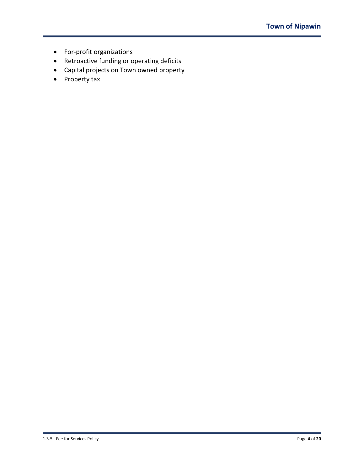- For-profit organizations
- Retroactive funding or operating deficits
- Capital projects on Town owned property
- Property tax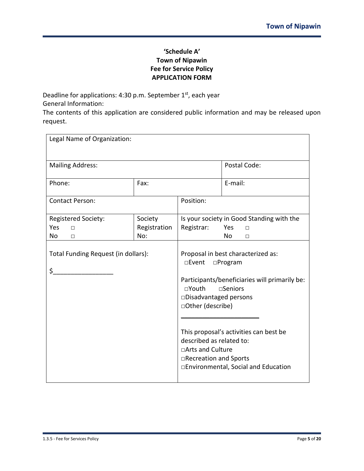# **'Schedule A' Town of Nipawin Fee for Service Policy APPLICATION FORM**

Deadline for applications: 4:30 p.m. September 1st, each year General Information:

The contents of this application are considered public information and may be released upon request.

| Legal Name of Organization:               |              |                                                                                                                                                                                                                                                                                                                                                         |                                           |
|-------------------------------------------|--------------|---------------------------------------------------------------------------------------------------------------------------------------------------------------------------------------------------------------------------------------------------------------------------------------------------------------------------------------------------------|-------------------------------------------|
| <b>Mailing Address:</b>                   |              |                                                                                                                                                                                                                                                                                                                                                         | Postal Code:                              |
| Phone:                                    | Fax:         |                                                                                                                                                                                                                                                                                                                                                         | E-mail:                                   |
| <b>Contact Person:</b>                    |              | Position:                                                                                                                                                                                                                                                                                                                                               |                                           |
| <b>Registered Society:</b>                | Society      |                                                                                                                                                                                                                                                                                                                                                         | Is your society in Good Standing with the |
| Yes<br>$\Box$                             | Registration | Registrar:                                                                                                                                                                                                                                                                                                                                              | Yes<br>П                                  |
| No<br>П                                   | No:          |                                                                                                                                                                                                                                                                                                                                                         | <b>No</b><br>П                            |
| Total Funding Request (in dollars):<br>\$ |              | Proposal in best characterized as:<br>□Event □Program<br>Participants/beneficiaries will primarily be:<br>$\square$ Youth<br>$\Box$ Seniors<br>□Disadvantaged persons<br>□Other (describe)<br>This proposal's activities can best be<br>described as related to:<br>□Arts and Culture<br>□Recreation and Sports<br>□Environmental, Social and Education |                                           |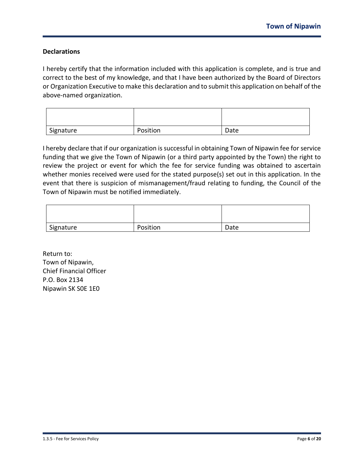# **Declarations**

I hereby certify that the information included with this application is complete, and is true and correct to the best of my knowledge, and that I have been authorized by the Board of Directors or Organization Executive to make this declaration and to submit this application on behalf of the above-named organization.

| Signature | Position | Date |
|-----------|----------|------|

I hereby declare that if our organization is successful in obtaining Town of Nipawin fee for service funding that we give the Town of Nipawin (or a third party appointed by the Town) the right to review the project or event for which the fee for service funding was obtained to ascertain whether monies received were used for the stated purpose(s) set out in this application. In the event that there is suspicion of mismanagement/fraud relating to funding, the Council of the Town of Nipawin must be notified immediately.

| Signature | Position | Date |
|-----------|----------|------|

Return to: Town of Nipawin, Chief Financial Officer P.O. Box 2134 Nipawin SK S0E 1E0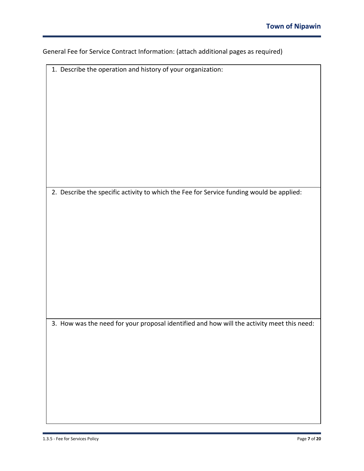| General Fee for Service Contract Information: (attach additional pages as required) |  |  |
|-------------------------------------------------------------------------------------|--|--|
|-------------------------------------------------------------------------------------|--|--|

| 1. Describe the operation and history of your organization:                                |
|--------------------------------------------------------------------------------------------|
|                                                                                            |
|                                                                                            |
|                                                                                            |
|                                                                                            |
|                                                                                            |
|                                                                                            |
|                                                                                            |
|                                                                                            |
|                                                                                            |
|                                                                                            |
|                                                                                            |
|                                                                                            |
|                                                                                            |
|                                                                                            |
|                                                                                            |
|                                                                                            |
|                                                                                            |
|                                                                                            |
|                                                                                            |
|                                                                                            |
|                                                                                            |
| 2. Describe the specific activity to which the Fee for Service funding would be applied:   |
|                                                                                            |
|                                                                                            |
|                                                                                            |
|                                                                                            |
|                                                                                            |
|                                                                                            |
|                                                                                            |
|                                                                                            |
|                                                                                            |
|                                                                                            |
|                                                                                            |
|                                                                                            |
|                                                                                            |
|                                                                                            |
|                                                                                            |
|                                                                                            |
|                                                                                            |
|                                                                                            |
|                                                                                            |
|                                                                                            |
|                                                                                            |
|                                                                                            |
| 3. How was the need for your proposal identified and how will the activity meet this need: |
|                                                                                            |
|                                                                                            |
|                                                                                            |
|                                                                                            |
|                                                                                            |
|                                                                                            |
|                                                                                            |
|                                                                                            |
|                                                                                            |
|                                                                                            |
|                                                                                            |
|                                                                                            |
|                                                                                            |
|                                                                                            |
|                                                                                            |
|                                                                                            |
|                                                                                            |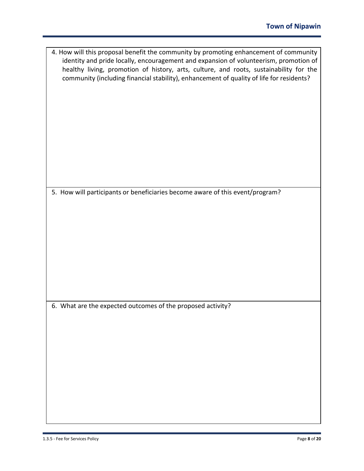| 4. How will this proposal benefit the community by promoting enhancement of community<br>identity and pride locally, encouragement and expansion of volunteerism, promotion of<br>healthy living, promotion of history, arts, culture, and roots, sustainability for the<br>community (including financial stability), enhancement of quality of life for residents? |
|----------------------------------------------------------------------------------------------------------------------------------------------------------------------------------------------------------------------------------------------------------------------------------------------------------------------------------------------------------------------|
| 5. How will participants or beneficiaries become aware of this event/program?                                                                                                                                                                                                                                                                                        |
|                                                                                                                                                                                                                                                                                                                                                                      |
| 6. What are the expected outcomes of the proposed activity?                                                                                                                                                                                                                                                                                                          |
|                                                                                                                                                                                                                                                                                                                                                                      |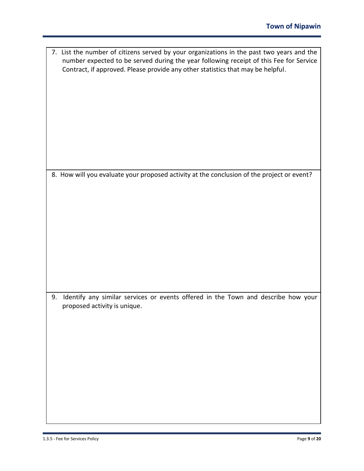| 7. List the number of citizens served by your organizations in the past two years and the<br>number expected to be served during the year following receipt of this Fee for Service<br>Contract, if approved. Please provide any other statistics that may be helpful. |
|------------------------------------------------------------------------------------------------------------------------------------------------------------------------------------------------------------------------------------------------------------------------|
| 8. How will you evaluate your proposed activity at the conclusion of the project or event?                                                                                                                                                                             |
| Identify any similar services or events offered in the Town and describe how your<br>9.<br>proposed activity is unique.                                                                                                                                                |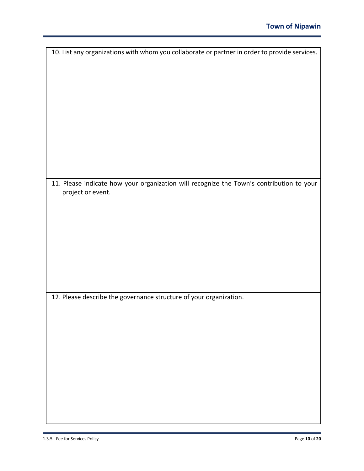| 10. List any organizations with whom you collaborate or partner in order to provide services. |
|-----------------------------------------------------------------------------------------------|
|                                                                                               |
|                                                                                               |
|                                                                                               |
|                                                                                               |
|                                                                                               |
|                                                                                               |
|                                                                                               |
|                                                                                               |
|                                                                                               |
|                                                                                               |
|                                                                                               |
|                                                                                               |
|                                                                                               |
| 11. Please indicate how your organization will recognize the Town's contribution to your      |
| project or event.                                                                             |
|                                                                                               |
|                                                                                               |
|                                                                                               |
|                                                                                               |
|                                                                                               |
|                                                                                               |
|                                                                                               |
|                                                                                               |
|                                                                                               |
|                                                                                               |
|                                                                                               |
| 12. Please describe the governance structure of your organization.                            |
|                                                                                               |
|                                                                                               |
|                                                                                               |
|                                                                                               |
|                                                                                               |
|                                                                                               |
|                                                                                               |
|                                                                                               |
|                                                                                               |
|                                                                                               |
|                                                                                               |
|                                                                                               |
|                                                                                               |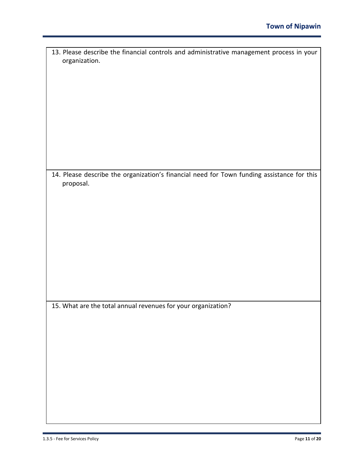| 13. Please describe the financial controls and administrative management process in your                |
|---------------------------------------------------------------------------------------------------------|
| organization.                                                                                           |
|                                                                                                         |
|                                                                                                         |
|                                                                                                         |
|                                                                                                         |
|                                                                                                         |
|                                                                                                         |
|                                                                                                         |
|                                                                                                         |
|                                                                                                         |
|                                                                                                         |
|                                                                                                         |
| 14. Please describe the organization's financial need for Town funding assistance for this<br>proposal. |
|                                                                                                         |
|                                                                                                         |
|                                                                                                         |
|                                                                                                         |
|                                                                                                         |
|                                                                                                         |
|                                                                                                         |
|                                                                                                         |
|                                                                                                         |
|                                                                                                         |
|                                                                                                         |
|                                                                                                         |
| 15. What are the total annual revenues for your organization?                                           |
|                                                                                                         |
|                                                                                                         |
|                                                                                                         |
|                                                                                                         |
|                                                                                                         |
|                                                                                                         |
|                                                                                                         |
|                                                                                                         |
|                                                                                                         |
|                                                                                                         |
|                                                                                                         |
|                                                                                                         |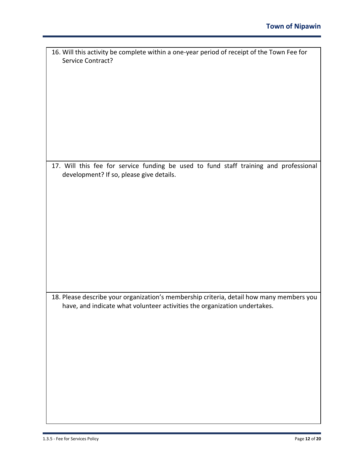| 16. Will this activity be complete within a one-year period of receipt of the Town Fee for<br>Service Contract?                                                       |
|-----------------------------------------------------------------------------------------------------------------------------------------------------------------------|
|                                                                                                                                                                       |
|                                                                                                                                                                       |
|                                                                                                                                                                       |
|                                                                                                                                                                       |
|                                                                                                                                                                       |
|                                                                                                                                                                       |
|                                                                                                                                                                       |
| 17. Will this fee for service funding be used to fund staff training and professional                                                                                 |
| development? If so, please give details.                                                                                                                              |
|                                                                                                                                                                       |
|                                                                                                                                                                       |
|                                                                                                                                                                       |
|                                                                                                                                                                       |
|                                                                                                                                                                       |
|                                                                                                                                                                       |
|                                                                                                                                                                       |
|                                                                                                                                                                       |
| 18. Please describe your organization's membership criteria, detail how many members you<br>have, and indicate what volunteer activities the organization undertakes. |
|                                                                                                                                                                       |
|                                                                                                                                                                       |
|                                                                                                                                                                       |
|                                                                                                                                                                       |
|                                                                                                                                                                       |
|                                                                                                                                                                       |
|                                                                                                                                                                       |
|                                                                                                                                                                       |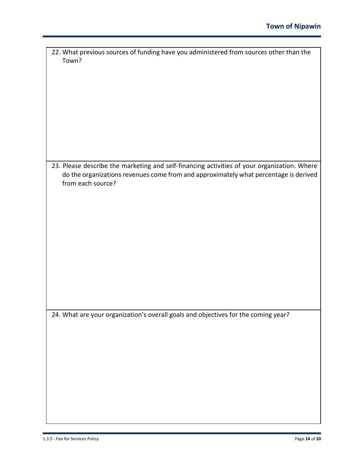| 22. What previous sources of funding have you administered from sources other than the      |  |  |  |
|---------------------------------------------------------------------------------------------|--|--|--|
| Town?                                                                                       |  |  |  |
|                                                                                             |  |  |  |
|                                                                                             |  |  |  |
|                                                                                             |  |  |  |
|                                                                                             |  |  |  |
|                                                                                             |  |  |  |
|                                                                                             |  |  |  |
|                                                                                             |  |  |  |
|                                                                                             |  |  |  |
|                                                                                             |  |  |  |
|                                                                                             |  |  |  |
|                                                                                             |  |  |  |
|                                                                                             |  |  |  |
|                                                                                             |  |  |  |
|                                                                                             |  |  |  |
|                                                                                             |  |  |  |
|                                                                                             |  |  |  |
|                                                                                             |  |  |  |
| 23. Please describe the marketing and self-financing activities of your organization. Where |  |  |  |
|                                                                                             |  |  |  |
| do the organizations revenues come from and approximately what percentage is derived        |  |  |  |
|                                                                                             |  |  |  |
| from each source?                                                                           |  |  |  |
|                                                                                             |  |  |  |
|                                                                                             |  |  |  |
|                                                                                             |  |  |  |
|                                                                                             |  |  |  |
|                                                                                             |  |  |  |
|                                                                                             |  |  |  |
|                                                                                             |  |  |  |
|                                                                                             |  |  |  |
|                                                                                             |  |  |  |
|                                                                                             |  |  |  |
|                                                                                             |  |  |  |
|                                                                                             |  |  |  |
|                                                                                             |  |  |  |
|                                                                                             |  |  |  |
|                                                                                             |  |  |  |
|                                                                                             |  |  |  |
|                                                                                             |  |  |  |
|                                                                                             |  |  |  |
|                                                                                             |  |  |  |
|                                                                                             |  |  |  |
|                                                                                             |  |  |  |
|                                                                                             |  |  |  |
| 24. What are your organization's overall goals and objectives for the coming year?          |  |  |  |
|                                                                                             |  |  |  |
|                                                                                             |  |  |  |
|                                                                                             |  |  |  |
|                                                                                             |  |  |  |
|                                                                                             |  |  |  |
|                                                                                             |  |  |  |
|                                                                                             |  |  |  |
|                                                                                             |  |  |  |
|                                                                                             |  |  |  |
|                                                                                             |  |  |  |
|                                                                                             |  |  |  |
|                                                                                             |  |  |  |
|                                                                                             |  |  |  |
|                                                                                             |  |  |  |
|                                                                                             |  |  |  |
|                                                                                             |  |  |  |
|                                                                                             |  |  |  |
|                                                                                             |  |  |  |
|                                                                                             |  |  |  |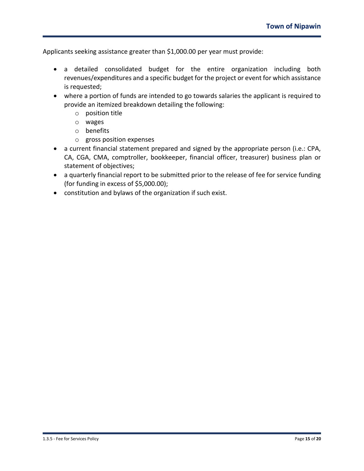Applicants seeking assistance greater than \$1,000.00 per year must provide:

- a detailed consolidated budget for the entire organization including both revenues/expenditures and a specific budget for the project or event for which assistance is requested;
- where a portion of funds are intended to go towards salaries the applicant is required to provide an itemized breakdown detailing the following:
	- o position title
	- o wages
	- o benefits
	- o gross position expenses
- a current financial statement prepared and signed by the appropriate person (i.e.: CPA, CA, CGA, CMA, comptroller, bookkeeper, financial officer, treasurer) business plan or statement of objectives;
- a quarterly financial report to be submitted prior to the release of fee for service funding (for funding in excess of \$5,000.00);
- constitution and bylaws of the organization if such exist.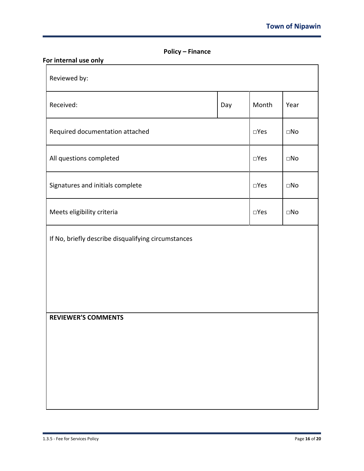| <b>Policy – Finance</b> |  |
|-------------------------|--|
|-------------------------|--|

| For internal use only                               |     |       |              |  |  |
|-----------------------------------------------------|-----|-------|--------------|--|--|
| Reviewed by:                                        |     |       |              |  |  |
| Received:                                           | Day | Month | Year         |  |  |
| Required documentation attached                     |     |       | $\square$ No |  |  |
| All questions completed                             |     |       | $\square$ No |  |  |
| Signatures and initials complete                    |     |       | $\Box$ No    |  |  |
| Meets eligibility criteria                          |     |       | $\Box$ No    |  |  |
| If No, briefly describe disqualifying circumstances |     |       |              |  |  |
|                                                     |     |       |              |  |  |
|                                                     |     |       |              |  |  |
| <b>REVIEWER'S COMMENTS</b>                          |     |       |              |  |  |
|                                                     |     |       |              |  |  |
|                                                     |     |       |              |  |  |
|                                                     |     |       |              |  |  |
|                                                     |     |       |              |  |  |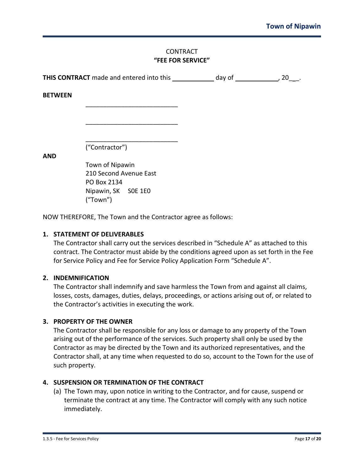## **CONTRACT "FEE FOR SERVICE"**

| THIS CONTRACT made and entered into this |                                           | day of | , 20 |
|------------------------------------------|-------------------------------------------|--------|------|
| <b>BETWEEN</b>                           |                                           |        |      |
|                                          |                                           |        |      |
|                                          |                                           |        |      |
|                                          | ("Contractor")                            |        |      |
| <b>AND</b>                               |                                           |        |      |
|                                          | Town of Nipawin<br>210 Second Avenue East |        |      |
|                                          | PO Box 2134                               |        |      |
|                                          | Nipawin, SK SOE 1EO<br>("Town")           |        |      |

NOW THEREFORE, The Town and the Contractor agree as follows:

## **1. STATEMENT OF DELIVERABLES**

The Contractor shall carry out the services described in "Schedule A" as attached to this contract. The Contractor must abide by the conditions agreed upon as set forth in the Fee for Service Policy and Fee for Service Policy Application Form "Schedule A".

#### **2. INDEMNIFICATION**

The Contractor shall indemnify and save harmless the Town from and against all claims, losses, costs, damages, duties, delays, proceedings, or actions arising out of, or related to the Contractor's activities in executing the work.

# **3. PROPERTY OF THE OWNER**

The Contractor shall be responsible for any loss or damage to any property of the Town arising out of the performance of the services. Such property shall only be used by the Contractor as may be directed by the Town and its authorized representatives, and the Contractor shall, at any time when requested to do so, account to the Town for the use of such property.

# **4. SUSPENSION OR TERMINATION OF THE CONTRACT**

(a) The Town may, upon notice in writing to the Contractor, and for cause, suspend or terminate the contract at any time. The Contractor will comply with any such notice immediately.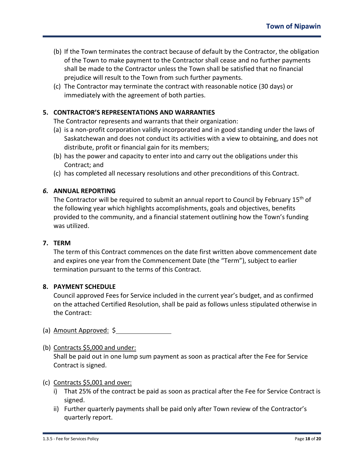- (b) If the Town terminates the contract because of default by the Contractor, the obligation of the Town to make payment to the Contractor shall cease and no further payments shall be made to the Contractor unless the Town shall be satisfied that no financial prejudice will result to the Town from such further payments.
- (c) The Contractor may terminate the contract with reasonable notice (30 days) or immediately with the agreement of both parties.

# **5. CONTRACTOR'S REPRESENTATIONS AND WARRANTIES**

The Contractor represents and warrants that their organization:

- (a) is a non-profit corporation validly incorporated and in good standing under the laws of Saskatchewan and does not conduct its activities with a view to obtaining, and does not distribute, profit or financial gain for its members;
- (b) has the power and capacity to enter into and carry out the obligations under this Contract; and
- (c) has completed all necessary resolutions and other preconditions of this Contract.

# *6.* **ANNUAL REPORTING**

The Contractor will be required to submit an annual report to Council by February 15<sup>th</sup> of the following year which highlights accomplishments, goals and objectives, benefits provided to the community, and a financial statement outlining how the Town's funding was utilized.

## **7. TERM**

The term of this Contract commences on the date first written above commencement date and expires one year from the Commencement Date (the "Term"), subject to earlier termination pursuant to the terms of this Contract.

#### **8. PAYMENT SCHEDULE**

Council approved Fees for Service included in the current year's budget, and as confirmed on the attached Certified Resolution, shall be paid as follows unless stipulated otherwise in the Contract:

- (a) Amount Approved: \$
- (b) Contracts \$5,000 and under: Shall be paid out in one lump sum payment as soon as practical after the Fee for Service Contract is signed.

#### (c) Contracts \$5,001 and over:

- i) That 25% of the contract be paid as soon as practical after the Fee for Service Contract is signed.
- ii) Further quarterly payments shall be paid only after Town review of the Contractor's quarterly report.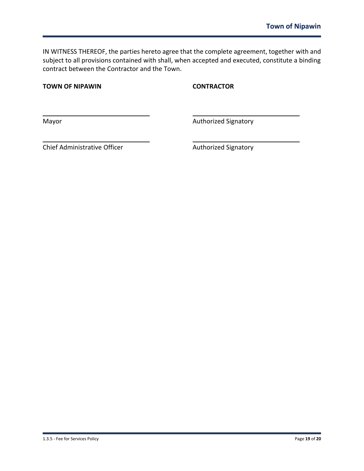IN WITNESS THEREOF, the parties hereto agree that the complete agreement, together with and subject to all provisions contained with shall, when accepted and executed, constitute a binding contract between the Contractor and the Town.

**TOWN OF NIPAWIN CONTRACTOR**

Mayor Mayor Authorized Signatory

Chief Administrative Officer **Authorized Signatory** Authorized Signatory